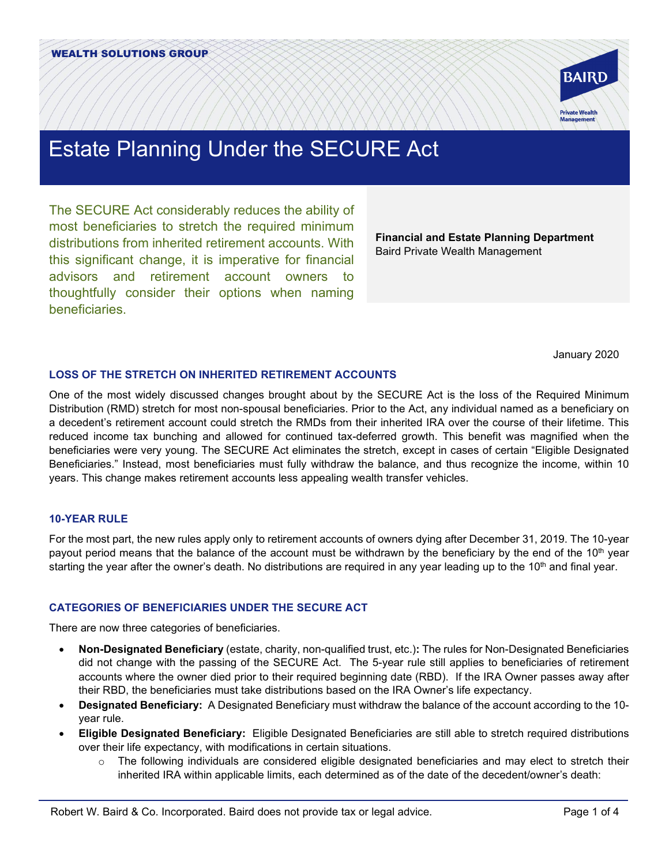

# Estate Planning Under the SECURE Act

The SECURE Act considerably reduces the ability of most beneficiaries to stretch the required minimum distributions from inherited retirement accounts. With this significant change, it is imperative for financial advisors and retirement account owners thoughtfully consider their options when naming beneficiaries.

**Financial and Estate Planning Department** Baird Private Wealth Management

January 2020

## **LOSS OF THE STRETCH ON INHERITED RETIREMENT ACCOUNTS**

One of the most widely discussed changes brought about by the SECURE Act is the loss of the Required Minimum Distribution (RMD) stretch for most non-spousal beneficiaries. Prior to the Act, any individual named as a beneficiary on a decedent's retirement account could stretch the RMDs from their inherited IRA over the course of their lifetime. This reduced income tax bunching and allowed for continued tax-deferred growth. This benefit was magnified when the beneficiaries were very young. The SECURE Act eliminates the stretch, except in cases of certain "Eligible Designated Beneficiaries." Instead, most beneficiaries must fully withdraw the balance, and thus recognize the income, within 10 years. This change makes retirement accounts less appealing wealth transfer vehicles.

## **10-YEAR RULE**

For the most part, the new rules apply only to retirement accounts of owners dying after December 31, 2019. The 10-year payout period means that the balance of the account must be withdrawn by the beneficiary by the end of the 10<sup>th</sup> year starting the year after the owner's death. No distributions are required in any year leading up to the 10<sup>th</sup> and final year.

# **CATEGORIES OF BENEFICIARIES UNDER THE SECURE ACT**

There are now three categories of beneficiaries.

- **Non-Designated Beneficiary** (estate, charity, non-qualified trust, etc.)**:** The rules for Non-Designated Beneficiaries did not change with the passing of the SECURE Act. The 5-year rule still applies to beneficiaries of retirement accounts where the owner died prior to their required beginning date (RBD). If the IRA Owner passes away after their RBD, the beneficiaries must take distributions based on the IRA Owner's life expectancy.
- **Designated Beneficiary:** A Designated Beneficiary must withdraw the balance of the account according to the 10 year rule.
- **Eligible Designated Beneficiary:** Eligible Designated Beneficiaries are still able to stretch required distributions over their life expectancy, with modifications in certain situations.
	- $\circ$  The following individuals are considered eligible designated beneficiaries and may elect to stretch their inherited IRA within applicable limits, each determined as of the date of the decedent/owner's death: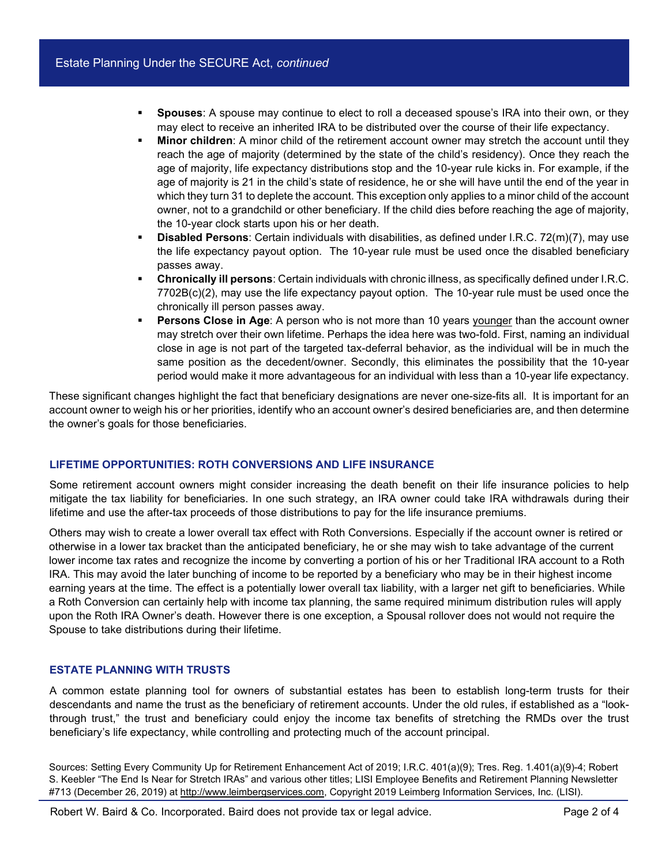- **Spouses**: A spouse may continue to elect to roll a deceased spouse's IRA into their own, or they may elect to receive an inherited IRA to be distributed over the course of their life expectancy.
- **Minor children**: A minor child of the retirement account owner may stretch the account until they reach the age of majority (determined by the state of the child's residency). Once they reach the age of majority, life expectancy distributions stop and the 10-year rule kicks in. For example, if the age of majority is 21 in the child's state of residence, he or she will have until the end of the year in which they turn 31 to deplete the account. This exception only applies to a minor child of the account owner, not to a grandchild or other beneficiary. If the child dies before reaching the age of majority, the 10-year clock starts upon his or her death.
- **Disabled Persons**: Certain individuals with disabilities, as defined under I.R.C. 72(m)(7), may use the life expectancy payout option. The 10-year rule must be used once the disabled beneficiary passes away.
- **Chronically ill persons**: Certain individuals with chronic illness, as specifically defined under I.R.C. 7702B(c)(2), may use the life expectancy payout option. The 10-year rule must be used once the chronically ill person passes away.
- **Persons Close in Age**: A person who is not more than 10 years younger than the account owner may stretch over their own lifetime. Perhaps the idea here was two-fold. First, naming an individual close in age is not part of the targeted tax-deferral behavior, as the individual will be in much the same position as the decedent/owner. Secondly, this eliminates the possibility that the 10-year period would make it more advantageous for an individual with less than a 10-year life expectancy.

These significant changes highlight the fact that beneficiary designations are never one-size-fits all. It is important for an account owner to weigh his or her priorities, identify who an account owner's desired beneficiaries are, and then determine the owner's goals for those beneficiaries.

## **LIFETIME OPPORTUNITIES: ROTH CONVERSIONS AND LIFE INSURANCE**

Some retirement account owners might consider increasing the death benefit on their life insurance policies to help mitigate the tax liability for beneficiaries. In one such strategy, an IRA owner could take IRA withdrawals during their lifetime and use the after-tax proceeds of those distributions to pay for the life insurance premiums.

Others may wish to create a lower overall tax effect with Roth Conversions. Especially if the account owner is retired or otherwise in a lower tax bracket than the anticipated beneficiary, he or she may wish to take advantage of the current lower income tax rates and recognize the income by converting a portion of his or her Traditional IRA account to a Roth IRA. This may avoid the later bunching of income to be reported by a beneficiary who may be in their highest income earning years at the time. The effect is a potentially lower overall tax liability, with a larger net gift to beneficiaries. While a Roth Conversion can certainly help with income tax planning, the same required minimum distribution rules will apply upon the Roth IRA Owner's death. However there is one exception, a Spousal rollover does not would not require the Spouse to take distributions during their lifetime.

#### **ESTATE PLANNING WITH TRUSTS**

A common estate planning tool for owners of substantial estates has been to establish long-term trusts for their descendants and name the trust as the beneficiary of retirement accounts. Under the old rules, if established as a "lookthrough trust," the trust and beneficiary could enjoy the income tax benefits of stretching the RMDs over the trust beneficiary's life expectancy, while controlling and protecting much of the account principal.

Sources: Setting Every Community Up for Retirement Enhancement Act of 2019; I.R.C. 401(a)(9); Tres. Reg. 1.401(a)(9)-4; Robert S. Keebler "The End Is Near for Stretch IRAs" and various other titles; LISI Employee Benefits and Retirement Planning Newsletter #713 (December 26, 2019) at [http://www.leimbergservices.com,](https://urldefense.com/v3/__http:/www.leimbergservices.com/__;!!EbQPtYtffN8evQ!pS4LrgvE7kw3_gwzqECzd3bkgxbAEwL81GTv3WrqaNuyjc4tw2ttcgx9ZKyR0Uk$) Copyright 2019 Leimberg Information Services, Inc. (LISI).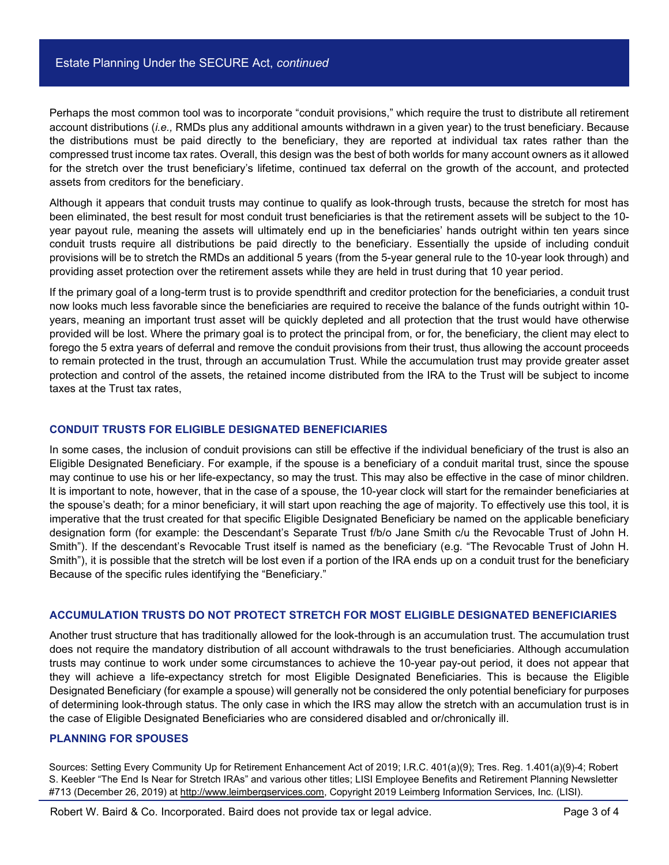Perhaps the most common tool was to incorporate "conduit provisions," which require the trust to distribute all retirement account distributions (*i.e.,* RMDs plus any additional amounts withdrawn in a given year) to the trust beneficiary. Because the distributions must be paid directly to the beneficiary, they are reported at individual tax rates rather than the compressed trust income tax rates. Overall, this design was the best of both worlds for many account owners as it allowed for the stretch over the trust beneficiary's lifetime, continued tax deferral on the growth of the account, and protected assets from creditors for the beneficiary.

Although it appears that conduit trusts may continue to qualify as look-through trusts, because the stretch for most has been eliminated, the best result for most conduit trust beneficiaries is that the retirement assets will be subject to the 10 year payout rule, meaning the assets will ultimately end up in the beneficiaries' hands outright within ten years since conduit trusts require all distributions be paid directly to the beneficiary. Essentially the upside of including conduit provisions will be to stretch the RMDs an additional 5 years (from the 5-year general rule to the 10-year look through) and providing asset protection over the retirement assets while they are held in trust during that 10 year period.

If the primary goal of a long-term trust is to provide spendthrift and creditor protection for the beneficiaries, a conduit trust now looks much less favorable since the beneficiaries are required to receive the balance of the funds outright within 10 years, meaning an important trust asset will be quickly depleted and all protection that the trust would have otherwise provided will be lost. Where the primary goal is to protect the principal from, or for, the beneficiary, the client may elect to forego the 5 extra years of deferral and remove the conduit provisions from their trust, thus allowing the account proceeds to remain protected in the trust, through an accumulation Trust. While the accumulation trust may provide greater asset protection and control of the assets, the retained income distributed from the IRA to the Trust will be subject to income taxes at the Trust tax rates,

#### **CONDUIT TRUSTS FOR ELIGIBLE DESIGNATED BENEFICIARIES**

In some cases, the inclusion of conduit provisions can still be effective if the individual beneficiary of the trust is also an Eligible Designated Beneficiary. For example, if the spouse is a beneficiary of a conduit marital trust, since the spouse may continue to use his or her life-expectancy, so may the trust. This may also be effective in the case of minor children. It is important to note, however, that in the case of a spouse, the 10-year clock will start for the remainder beneficiaries at the spouse's death; for a minor beneficiary, it will start upon reaching the age of majority. To effectively use this tool, it is imperative that the trust created for that specific Eligible Designated Beneficiary be named on the applicable beneficiary designation form (for example: the Descendant's Separate Trust f/b/o Jane Smith c/u the Revocable Trust of John H. Smith"). If the descendant's Revocable Trust itself is named as the beneficiary (e.g. "The Revocable Trust of John H. Smith"), it is possible that the stretch will be lost even if a portion of the IRA ends up on a conduit trust for the beneficiary Because of the specific rules identifying the "Beneficiary."

#### **ACCUMULATION TRUSTS DO NOT PROTECT STRETCH FOR MOST ELIGIBLE DESIGNATED BENEFICIARIES**

Another trust structure that has traditionally allowed for the look-through is an accumulation trust. The accumulation trust does not require the mandatory distribution of all account withdrawals to the trust beneficiaries. Although accumulation trusts may continue to work under some circumstances to achieve the 10-year pay-out period, it does not appear that they will achieve a life-expectancy stretch for most Eligible Designated Beneficiaries. This is because the Eligible Designated Beneficiary (for example a spouse) will generally not be considered the only potential beneficiary for purposes of determining look-through status. The only case in which the IRS may allow the stretch with an accumulation trust is in the case of Eligible Designated Beneficiaries who are considered disabled and or/chronically ill.

#### **PLANNING FOR SPOUSES**

Sources: Setting Every Community Up for Retirement Enhancement Act of 2019; I.R.C. 401(a)(9); Tres. Reg. 1.401(a)(9)-4; Robert S. Keebler "The End Is Near for Stretch IRAs" and various other titles; LISI Employee Benefits and Retirement Planning Newsletter #713 (December 26, 2019) at [http://www.leimbergservices.com,](https://urldefense.com/v3/__http:/www.leimbergservices.com/__;!!EbQPtYtffN8evQ!pS4LrgvE7kw3_gwzqECzd3bkgxbAEwL81GTv3WrqaNuyjc4tw2ttcgx9ZKyR0Uk$) Copyright 2019 Leimberg Information Services, Inc. (LISI).